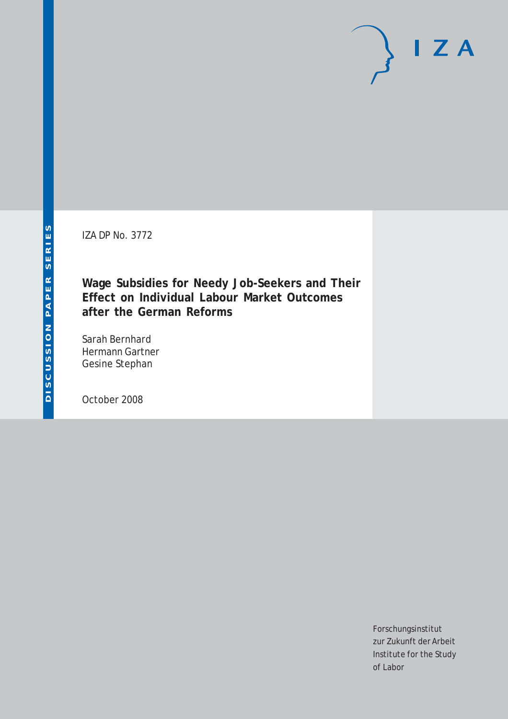IZA DP No. 3772

**Wage Subsidies for Needy Job-Seekers and Their Effect on Individual Labour Market Outcomes after the German Reforms**

Sarah Bernhard Hermann Gartner Gesine Stephan

October 2008

Forschungsinstitut zur Zukunft der Arbeit Institute for the Study of Labor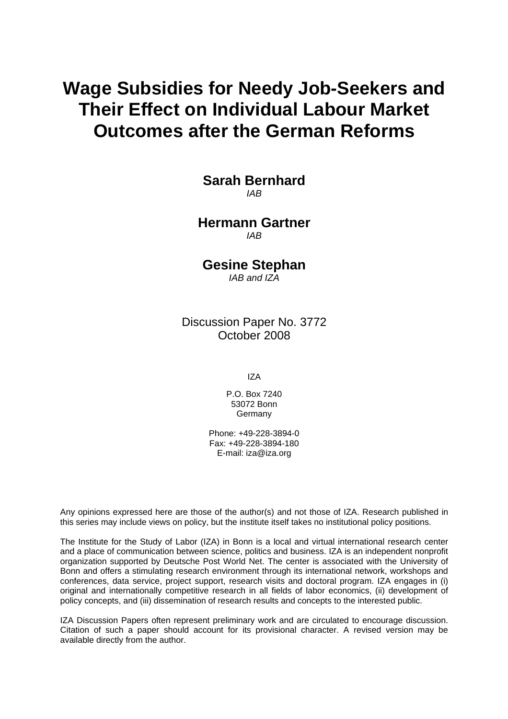# **Wage Subsidies for Needy Job-Seekers and Their Effect on Individual Labour Market Outcomes after the German Reforms**

**Sarah Bernhard**  *IAB* 

**Hermann Gartner**  *IAB* 

**Gesine Stephan** 

*IAB and IZA* 

Discussion Paper No. 3772 October 2008

IZA

P.O. Box 7240 53072 Bonn Germany

Phone: +49-228-3894-0 Fax: +49-228-3894-180 E-mail: [iza@iza.org](mailto:iza@iza.org)

Any opinions expressed here are those of the author(s) and not those of IZA. Research published in this series may include views on policy, but the institute itself takes no institutional policy positions.

The Institute for the Study of Labor (IZA) in Bonn is a local and virtual international research center and a place of communication between science, politics and business. IZA is an independent nonprofit organization supported by Deutsche Post World Net. The center is associated with the University of Bonn and offers a stimulating research environment through its international network, workshops and conferences, data service, project support, research visits and doctoral program. IZA engages in (i) original and internationally competitive research in all fields of labor economics, (ii) development of policy concepts, and (iii) dissemination of research results and concepts to the interested public.

IZA Discussion Papers often represent preliminary work and are circulated to encourage discussion. Citation of such a paper should account for its provisional character. A revised version may be available directly from the author.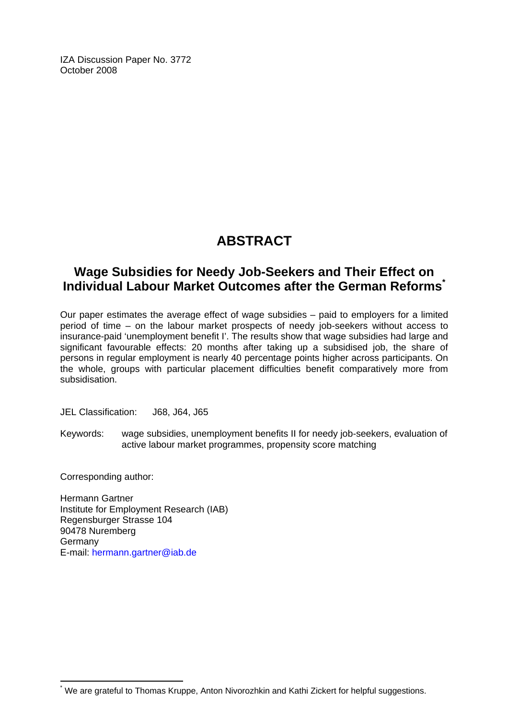IZA Discussion Paper No. 3772 October 2008

## **ABSTRACT**

### **Wage Subsidies for Needy Job-Seekers and Their Effect on Individual Labour Market Outcomes after the German Reforms[\\*](#page-2-0)**

Our paper estimates the average effect of wage subsidies – paid to employers for a limited period of time – on the labour market prospects of needy job-seekers without access to insurance-paid 'unemployment benefit I'. The results show that wage subsidies had large and significant favourable effects: 20 months after taking up a subsidised job, the share of persons in regular employment is nearly 40 percentage points higher across participants. On the whole, groups with particular placement difficulties benefit comparatively more from subsidisation.

JEL Classification: J68, J64, J65

Keywords: wage subsidies, unemployment benefits II for needy job-seekers, evaluation of active labour market programmes, propensity score matching

Corresponding author:

 $\overline{a}$ 

Hermann Gartner Institute for Employment Research (IAB) Regensburger Strasse 104 90478 Nuremberg Germany E-mail: [hermann.gartner@iab.de](mailto:hermann.gartner@iab.de)

<span id="page-2-0"></span><sup>\*</sup> We are grateful to Thomas Kruppe, Anton Nivorozhkin and Kathi Zickert for helpful suggestions.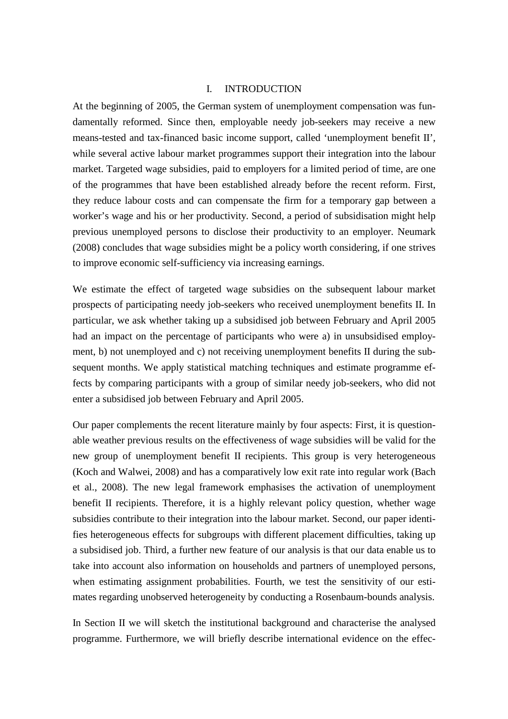#### I. INTRODUCTION

At the beginning of 2005, the German system of unemployment compensation was fundamentally reformed. Since then, employable needy job-seekers may receive a new means-tested and tax-financed basic income support, called 'unemployment benefit II', while several active labour market programmes support their integration into the labour market. Targeted wage subsidies, paid to employers for a limited period of time, are one of the programmes that have been established already before the recent reform. First, they reduce labour costs and can compensate the firm for a temporary gap between a worker's wage and his or her productivity. Second, a period of subsidisation might help previous unemployed persons to disclose their productivity to an employer. Neumark (2008) concludes that wage subsidies might be a policy worth considering, if one strives to improve economic self-sufficiency via increasing earnings.

We estimate the effect of targeted wage subsidies on the subsequent labour market prospects of participating needy job-seekers who received unemployment benefits II. In particular, we ask whether taking up a subsidised job between February and April 2005 had an impact on the percentage of participants who were a) in unsubsidised employment, b) not unemployed and c) not receiving unemployment benefits II during the subsequent months. We apply statistical matching techniques and estimate programme effects by comparing participants with a group of similar needy job-seekers, who did not enter a subsidised job between February and April 2005.

Our paper complements the recent literature mainly by four aspects: First, it is questionable weather previous results on the effectiveness of wage subsidies will be valid for the new group of unemployment benefit II recipients. This group is very heterogeneous (Koch and Walwei, 2008) and has a comparatively low exit rate into regular work (Bach et al., 2008). The new legal framework emphasises the activation of unemployment benefit II recipients. Therefore, it is a highly relevant policy question, whether wage subsidies contribute to their integration into the labour market. Second, our paper identifies heterogeneous effects for subgroups with different placement difficulties, taking up a subsidised job. Third, a further new feature of our analysis is that our data enable us to take into account also information on households and partners of unemployed persons, when estimating assignment probabilities. Fourth, we test the sensitivity of our estimates regarding unobserved heterogeneity by conducting a Rosenbaum-bounds analysis.

In Section II we will sketch the institutional background and characterise the analysed programme. Furthermore, we will briefly describe international evidence on the effec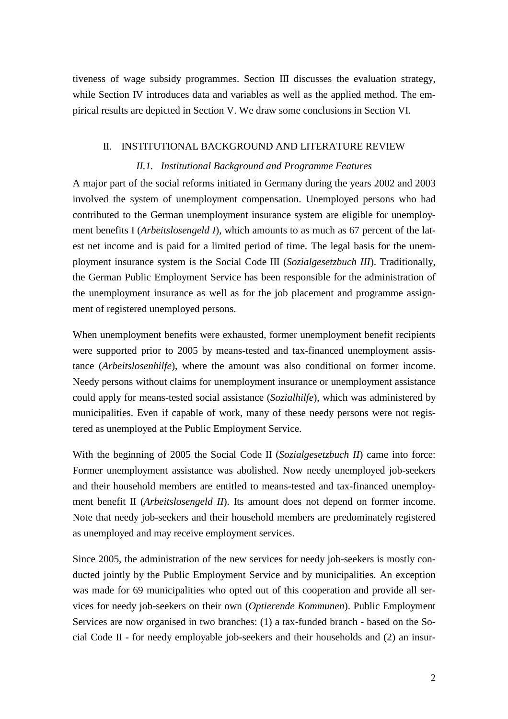tiveness of wage subsidy programmes. Section III discusses the evaluation strategy, while Section IV introduces data and variables as well as the applied method. The empirical results are depicted in Section V. We draw some conclusions in Section VI.

#### II. INSTITUTIONAL BACKGROUND AND LITERATURE REVIEW

#### *II.1. Institutional Background and Programme Features*

A major part of the social reforms initiated in Germany during the years 2002 and 2003 involved the system of unemployment compensation. Unemployed persons who had contributed to the German unemployment insurance system are eligible for unemployment benefits I (*Arbeitslosengeld I*), which amounts to as much as 67 percent of the latest net income and is paid for a limited period of time. The legal basis for the unemployment insurance system is the Social Code III (*Sozialgesetzbuch III*). Traditionally, the German Public Employment Service has been responsible for the administration of the unemployment insurance as well as for the job placement and programme assignment of registered unemployed persons.

When unemployment benefits were exhausted, former unemployment benefit recipients were supported prior to 2005 by means-tested and tax-financed unemployment assistance (*Arbeitslosenhilfe*), where the amount was also conditional on former income. Needy persons without claims for unemployment insurance or unemployment assistance could apply for means-tested social assistance (*Sozialhilfe*), which was administered by municipalities. Even if capable of work, many of these needy persons were not registered as unemployed at the Public Employment Service.

With the beginning of 2005 the Social Code II (*Sozialgesetzbuch II*) came into force: Former unemployment assistance was abolished. Now needy unemployed job-seekers and their household members are entitled to means-tested and tax-financed unemployment benefit II (*Arbeitslosengeld II*). Its amount does not depend on former income. Note that needy job-seekers and their household members are predominately registered as unemployed and may receive employment services.

Since 2005, the administration of the new services for needy job-seekers is mostly conducted jointly by the Public Employment Service and by municipalities. An exception was made for 69 municipalities who opted out of this cooperation and provide all services for needy job-seekers on their own (*Optierende Kommunen*). Public Employment Services are now organised in two branches: (1) a tax-funded branch - based on the Social Code II - for needy employable job-seekers and their households and (2) an insur-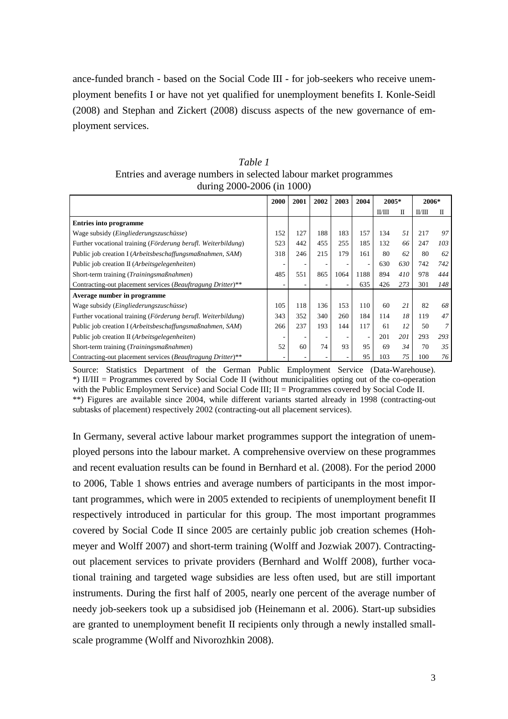ance-funded branch - based on the Social Code III - for job-seekers who receive unemployment benefits I or have not yet qualified for unemployment benefits I. Konle-Seidl (2008) and Stephan and Zickert (2008) discuss aspects of the new governance of employment services.

| Table 1                                                          |
|------------------------------------------------------------------|
| Entries and average numbers in selected labour market programmes |
| during $2000 - 2006$ (in 1000)                                   |

|                                                               | 2000 | 2001 | 2002 | 2003 | 2004 | 2005*  |     | 2006*  |     |
|---------------------------------------------------------------|------|------|------|------|------|--------|-----|--------|-----|
|                                                               |      |      |      |      |      | II/III | П   | II/III | П   |
| <b>Entries into programme</b>                                 |      |      |      |      |      |        |     |        |     |
| Wage subsidy ( <i>Eingliederungszuschüsse</i> )               | 152  | 127  | 188  | 183  | 157  | 134    | 51  | 217    | 97  |
| Further vocational training (Förderung berufl. Weiterbildung) | 523  | 442  | 455  | 255  | 185  | 132    | 66  | 247    | 103 |
| Public job creation I (Arbeitsbeschaffungsmaßnahmen, SAM)     | 318  | 246  | 215  | 179  | 161  | 80     | 62  | 80     | 62  |
| Public job creation II (Arbeitsgelegenheiten)                 |      | -    |      |      | ٠    | 630    | 630 | 742    | 742 |
| Short-term training (Trainingsmaßnahmen)                      | 485  | 551  | 865  | 1064 | 1188 | 894    | 410 | 978    | 444 |
| Contracting-out placement services (Beauftragung Dritter)**   |      |      |      | ۰    | 635  | 426    | 273 | 301    | 148 |
| Average number in programme                                   |      |      |      |      |      |        |     |        |     |
| Wage subsidy (Eingliederungszuschüsse)                        | 105  | 118  | 136  | 153  | 110  | 60     | 21  | 82     | 68  |
| Further vocational training (Förderung berufl. Weiterbildung) | 343  | 352  | 340  | 260  | 184  | 114    | 18  | 119    | 47  |
| Public job creation I (Arbeitsbeschaffungsmaßnahmen, SAM)     | 266  | 237  | 193  | 144  | 117  | 61     | 12  | 50     |     |
| Public job creation II (Arbeitsgelegenheiten)                 |      |      |      |      | ٠    | 201    | 201 | 293    | 293 |
| Short-term training (Trainingsmaßnahmen)                      | 52   | 60   | 74   | 93   | 95   | 69     | 34  | 70     | 35  |
| Contracting-out placement services (Beauftragung Dritter)**   |      |      |      |      | 95   | 103    | 75  | 100    | 76  |

Source: Statistics Department of the German Public Employment Service (Data-Warehouse). \*) II/III = Programmes covered by Social Code II (without municipalities opting out of the co-operation with the Public Employment Service) and Social Code III; II = Programmes covered by Social Code II. \*\*) Figures are available since 2004, while different variants started already in 1998 (contracting-out subtasks of placement) respectively 2002 (contracting-out all placement services).

In Germany, several active labour market programmes support the integration of unemployed persons into the labour market. A comprehensive overview on these programmes and recent evaluation results can be found in Bernhard et al. (2008). For the period 2000 to 2006, Table 1 shows entries and average numbers of participants in the most important programmes, which were in 2005 extended to recipients of unemployment benefit II respectively introduced in particular for this group. The most important programmes covered by Social Code II since 2005 are certainly public job creation schemes (Hohmeyer and Wolff 2007) and short-term training (Wolff and Jozwiak 2007). Contractingout placement services to private providers (Bernhard and Wolff 2008), further vocational training and targeted wage subsidies are less often used, but are still important instruments. During the first half of 2005, nearly one percent of the average number of needy job-seekers took up a subsidised job (Heinemann et al. 2006). Start-up subsidies are granted to unemployment benefit II recipients only through a newly installed smallscale programme (Wolff and Nivorozhkin 2008).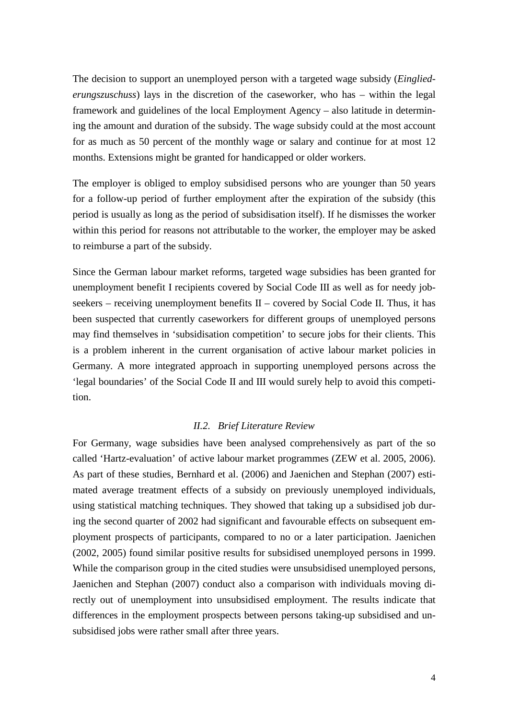The decision to support an unemployed person with a targeted wage subsidy (*Eingliederungszuschuss*) lays in the discretion of the caseworker, who has – within the legal framework and guidelines of the local Employment Agency – also latitude in determining the amount and duration of the subsidy. The wage subsidy could at the most account for as much as 50 percent of the monthly wage or salary and continue for at most 12 months. Extensions might be granted for handicapped or older workers.

The employer is obliged to employ subsidised persons who are younger than 50 years for a follow-up period of further employment after the expiration of the subsidy (this period is usually as long as the period of subsidisation itself). If he dismisses the worker within this period for reasons not attributable to the worker, the employer may be asked to reimburse a part of the subsidy.

Since the German labour market reforms, targeted wage subsidies has been granted for unemployment benefit I recipients covered by Social Code III as well as for needy jobseekers – receiving unemployment benefits  $II$  – covered by Social Code II. Thus, it has been suspected that currently caseworkers for different groups of unemployed persons may find themselves in 'subsidisation competition' to secure jobs for their clients. This is a problem inherent in the current organisation of active labour market policies in Germany. A more integrated approach in supporting unemployed persons across the 'legal boundaries' of the Social Code II and III would surely help to avoid this competition.

#### *II.2. Brief Literature Review*

For Germany, wage subsidies have been analysed comprehensively as part of the so called 'Hartz-evaluation' of active labour market programmes (ZEW et al. 2005, 2006). As part of these studies, Bernhard et al. (2006) and Jaenichen and Stephan (2007) estimated average treatment effects of a subsidy on previously unemployed individuals, using statistical matching techniques. They showed that taking up a subsidised job during the second quarter of 2002 had significant and favourable effects on subsequent employment prospects of participants, compared to no or a later participation. Jaenichen (2002, 2005) found similar positive results for subsidised unemployed persons in 1999. While the comparison group in the cited studies were unsubsidised unemployed persons, Jaenichen and Stephan (2007) conduct also a comparison with individuals moving directly out of unemployment into unsubsidised employment. The results indicate that differences in the employment prospects between persons taking-up subsidised and unsubsidised jobs were rather small after three years.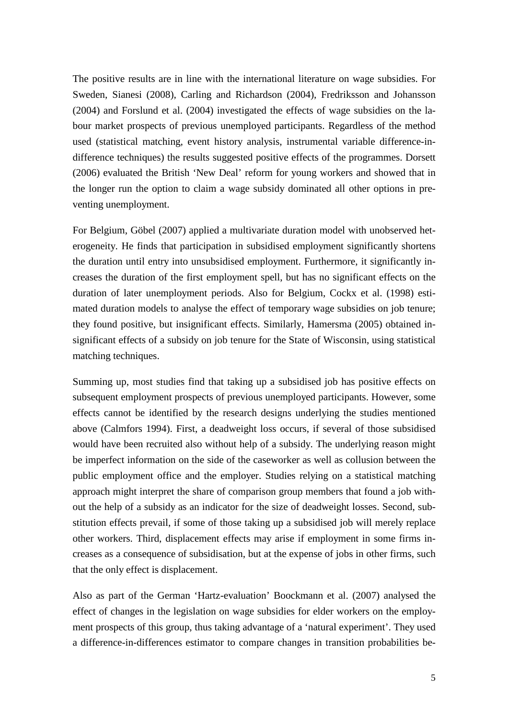The positive results are in line with the international literature on wage subsidies. For Sweden, Sianesi (2008), Carling and Richardson (2004), Fredriksson and Johansson (2004) and Forslund et al. (2004) investigated the effects of wage subsidies on the labour market prospects of previous unemployed participants. Regardless of the method used (statistical matching, event history analysis, instrumental variable difference-indifference techniques) the results suggested positive effects of the programmes. Dorsett (2006) evaluated the British 'New Deal' reform for young workers and showed that in the longer run the option to claim a wage subsidy dominated all other options in preventing unemployment.

For Belgium, Göbel (2007) applied a multivariate duration model with unobserved heterogeneity. He finds that participation in subsidised employment significantly shortens the duration until entry into unsubsidised employment. Furthermore, it significantly increases the duration of the first employment spell, but has no significant effects on the duration of later unemployment periods. Also for Belgium, Cockx et al. (1998) estimated duration models to analyse the effect of temporary wage subsidies on job tenure; they found positive, but insignificant effects. Similarly, Hamersma (2005) obtained insignificant effects of a subsidy on job tenure for the State of Wisconsin, using statistical matching techniques.

Summing up, most studies find that taking up a subsidised job has positive effects on subsequent employment prospects of previous unemployed participants. However, some effects cannot be identified by the research designs underlying the studies mentioned above (Calmfors 1994). First, a deadweight loss occurs, if several of those subsidised would have been recruited also without help of a subsidy. The underlying reason might be imperfect information on the side of the caseworker as well as collusion between the public employment office and the employer. Studies relying on a statistical matching approach might interpret the share of comparison group members that found a job without the help of a subsidy as an indicator for the size of deadweight losses. Second, substitution effects prevail, if some of those taking up a subsidised job will merely replace other workers. Third, displacement effects may arise if employment in some firms increases as a consequence of subsidisation, but at the expense of jobs in other firms, such that the only effect is displacement.

Also as part of the German 'Hartz-evaluation' Boockmann et al. (2007) analysed the effect of changes in the legislation on wage subsidies for elder workers on the employment prospects of this group, thus taking advantage of a 'natural experiment'. They used a difference-in-differences estimator to compare changes in transition probabilities be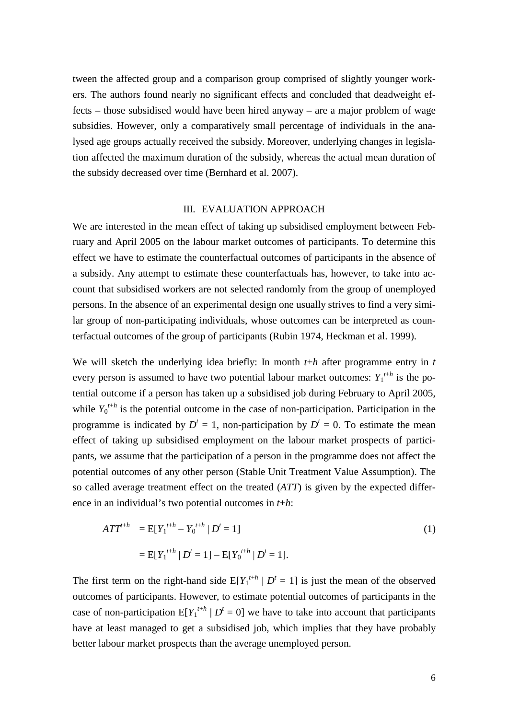tween the affected group and a comparison group comprised of slightly younger workers. The authors found nearly no significant effects and concluded that deadweight effects – those subsidised would have been hired anyway – are a major problem of wage subsidies. However, only a comparatively small percentage of individuals in the analysed age groups actually received the subsidy. Moreover, underlying changes in legislation affected the maximum duration of the subsidy, whereas the actual mean duration of the subsidy decreased over time (Bernhard et al. 2007).

#### III. EVALUATION APPROACH

We are interested in the mean effect of taking up subsidised employment between February and April 2005 on the labour market outcomes of participants. To determine this effect we have to estimate the counterfactual outcomes of participants in the absence of a subsidy. Any attempt to estimate these counterfactuals has, however, to take into account that subsidised workers are not selected randomly from the group of unemployed persons. In the absence of an experimental design one usually strives to find a very similar group of non-participating individuals, whose outcomes can be interpreted as counterfactual outcomes of the group of participants (Rubin 1974, Heckman et al. 1999).

We will sketch the underlying idea briefly: In month *t*+*h* after programme entry in *t* every person is assumed to have two potential labour market outcomes:  $Y_1^{t+h}$  is the potential outcome if a person has taken up a subsidised job during February to April 2005, while  $Y_0^{t+h}$  is the potential outcome in the case of non-participation. Participation in the programme is indicated by  $D^t = 1$ , non-participation by  $D^t = 0$ . To estimate the mean effect of taking up subsidised employment on the labour market prospects of participants, we assume that the participation of a person in the programme does not affect the potential outcomes of any other person (Stable Unit Treatment Value Assumption). The so called average treatment effect on the treated (*ATT*) is given by the expected difference in an individual's two potential outcomes in *t*+*h*:

$$
ATT^{t+h} = E[Y_1^{t+h} - Y_0^{t+h} | D^t = 1]
$$
  
= E[Y\_1^{t+h} | D^t = 1] - E[Y\_0^{t+h} | D^t = 1]. (1)

The first term on the right-hand side  $E[Y_1^{t+h} | D^t = 1]$  is just the mean of the observed outcomes of participants. However, to estimate potential outcomes of participants in the case of non-participation  $E[Y_1^{t+h} | D^t = 0]$  we have to take into account that participants have at least managed to get a subsidised job, which implies that they have probably better labour market prospects than the average unemployed person.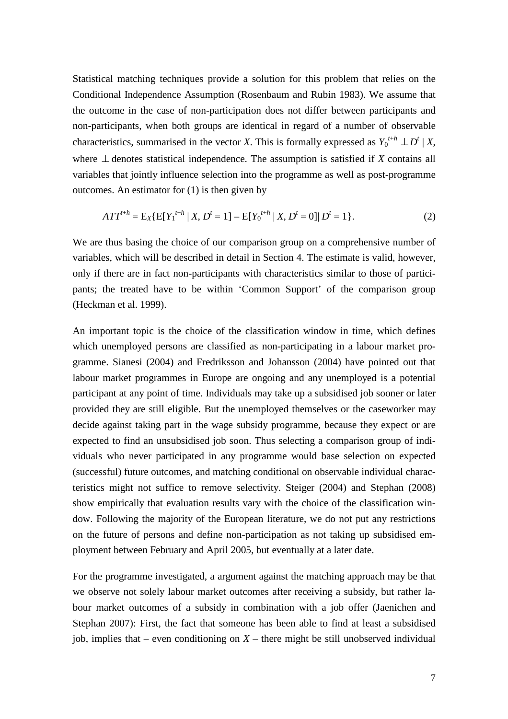Statistical matching techniques provide a solution for this problem that relies on the Conditional Independence Assumption (Rosenbaum and Rubin 1983). We assume that the outcome in the case of non-participation does not differ between participants and non-participants, when both groups are identical in regard of a number of observable characteristics, summarised in the vector *X*. This is formally expressed as  $Y_0^{t+h} \perp D^t \mid X$ , where  $\perp$  denotes statistical independence. The assumption is satisfied if *X* contains all variables that jointly influence selection into the programme as well as post-programme outcomes. An estimator for (1) is then given by

$$
ATT^{t+h} = E_X\{E[Y_1^{t+h} \mid X, D^t = 1] - E[Y_0^{t+h} \mid X, D^t = 0]| D^t = 1\}.
$$
 (2)

We are thus basing the choice of our comparison group on a comprehensive number of variables, which will be described in detail in Section 4. The estimate is valid, however, only if there are in fact non-participants with characteristics similar to those of participants; the treated have to be within 'Common Support' of the comparison group (Heckman et al. 1999).

An important topic is the choice of the classification window in time, which defines which unemployed persons are classified as non-participating in a labour market programme. Sianesi (2004) and Fredriksson and Johansson (2004) have pointed out that labour market programmes in Europe are ongoing and any unemployed is a potential participant at any point of time. Individuals may take up a subsidised job sooner or later provided they are still eligible. But the unemployed themselves or the caseworker may decide against taking part in the wage subsidy programme, because they expect or are expected to find an unsubsidised job soon. Thus selecting a comparison group of individuals who never participated in any programme would base selection on expected (successful) future outcomes, and matching conditional on observable individual characteristics might not suffice to remove selectivity. Steiger (2004) and Stephan (2008) show empirically that evaluation results vary with the choice of the classification window. Following the majority of the European literature, we do not put any restrictions on the future of persons and define non-participation as not taking up subsidised employment between February and April 2005, but eventually at a later date.

For the programme investigated, a argument against the matching approach may be that we observe not solely labour market outcomes after receiving a subsidy, but rather labour market outcomes of a subsidy in combination with a job offer (Jaenichen and Stephan 2007): First, the fact that someone has been able to find at least a subsidised job, implies that – even conditioning on  $X$  – there might be still unobserved individual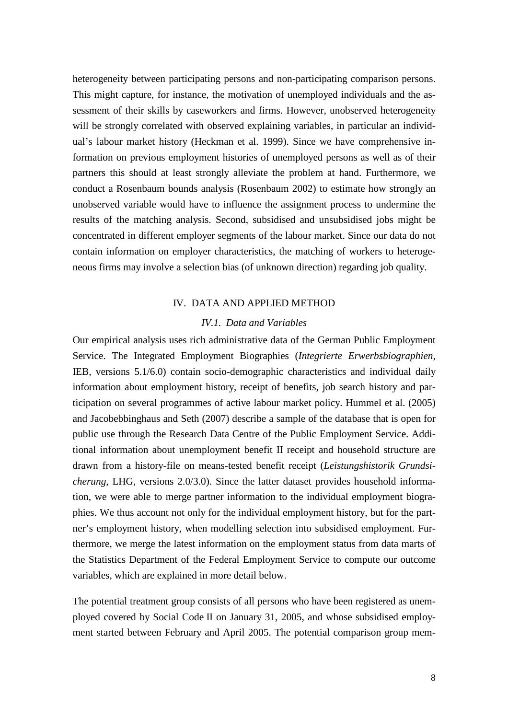heterogeneity between participating persons and non-participating comparison persons. This might capture, for instance, the motivation of unemployed individuals and the assessment of their skills by caseworkers and firms. However, unobserved heterogeneity will be strongly correlated with observed explaining variables, in particular an individual's labour market history (Heckman et al. 1999). Since we have comprehensive information on previous employment histories of unemployed persons as well as of their partners this should at least strongly alleviate the problem at hand. Furthermore, we conduct a Rosenbaum bounds analysis (Rosenbaum 2002) to estimate how strongly an unobserved variable would have to influence the assignment process to undermine the results of the matching analysis. Second, subsidised and unsubsidised jobs might be concentrated in different employer segments of the labour market. Since our data do not contain information on employer characteristics, the matching of workers to heterogeneous firms may involve a selection bias (of unknown direction) regarding job quality.

#### IV. DATA AND APPLIED METHOD

#### *IV.1. Data and Variables*

Our empirical analysis uses rich administrative data of the German Public Employment Service. The Integrated Employment Biographies (*Integrierte Erwerbsbiographien,*  IEB, versions 5.1/6.0) contain socio-demographic characteristics and individual daily information about employment history, receipt of benefits, job search history and participation on several programmes of active labour market policy. Hummel et al. (2005) and Jacobebbinghaus and Seth (2007) describe a sample of the database that is open for public use through the Research Data Centre of the Public Employment Service. Additional information about unemployment benefit II receipt and household structure are drawn from a history-file on means-tested benefit receipt (*Leistungshistorik Grundsicherung*, LHG, versions 2.0/3.0). Since the latter dataset provides household information, we were able to merge partner information to the individual employment biographies. We thus account not only for the individual employment history, but for the partner's employment history, when modelling selection into subsidised employment. Furthermore, we merge the latest information on the employment status from data marts of the Statistics Department of the Federal Employment Service to compute our outcome variables, which are explained in more detail below.

The potential treatment group consists of all persons who have been registered as unemployed covered by Social Code II on January 31, 2005, and whose subsidised employment started between February and April 2005. The potential comparison group mem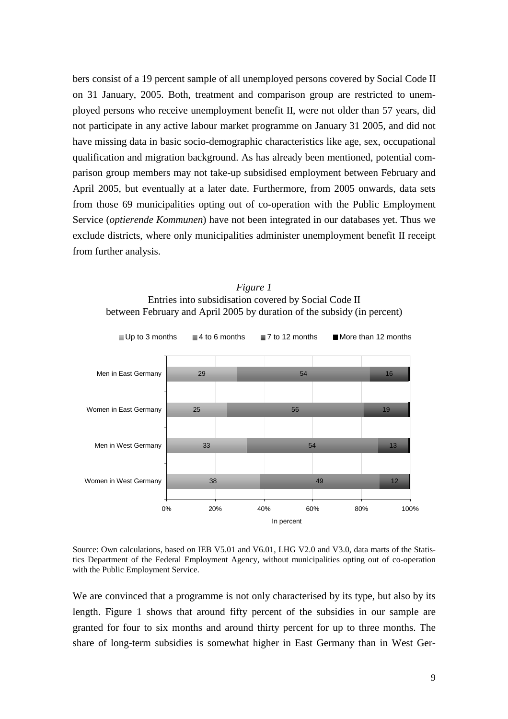bers consist of a 19 percent sample of all unemployed persons covered by Social Code II on 31 January, 2005. Both, treatment and comparison group are restricted to unemployed persons who receive unemployment benefit II, were not older than 57 years, did not participate in any active labour market programme on January 31 2005, and did not have missing data in basic socio-demographic characteristics like age, sex, occupational qualification and migration background. As has already been mentioned, potential comparison group members may not take-up subsidised employment between February and April 2005, but eventually at a later date. Furthermore, from 2005 onwards, data sets from those 69 municipalities opting out of co-operation with the Public Employment Service (*optierende Kommunen*) have not been integrated in our databases yet. Thus we exclude districts, where only municipalities administer unemployment benefit II receipt from further analysis.

*Figure 1* Entries into subsidisation covered by Social Code II between February and April 2005 by duration of the subsidy (in percent)



Source: Own calculations, based on IEB V5.01 and V6.01, LHG V2.0 and V3.0, data marts of the Statistics Department of the Federal Employment Agency, without municipalities opting out of co-operation with the Public Employment Service.

We are convinced that a programme is not only characterised by its type, but also by its length. Figure 1 shows that around fifty percent of the subsidies in our sample are granted for four to six months and around thirty percent for up to three months. The share of long-term subsidies is somewhat higher in East Germany than in West Ger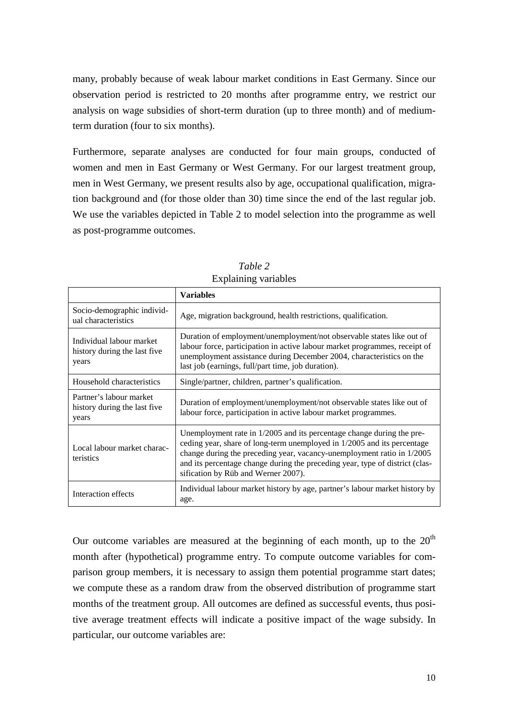many, probably because of weak labour market conditions in East Germany. Since our observation period is restricted to 20 months after programme entry, we restrict our analysis on wage subsidies of short-term duration (up to three month) and of mediumterm duration (four to six months).

Furthermore, separate analyses are conducted for four main groups, conducted of women and men in East Germany or West Germany. For our largest treatment group, men in West Germany, we present results also by age, occupational qualification, migration background and (for those older than 30) time since the end of the last regular job. We use the variables depicted in Table 2 to model selection into the programme as well as post-programme outcomes.

|                                                                   | <b>Variables</b>                                                                                                                                                                                                                                                                                                                                  |
|-------------------------------------------------------------------|---------------------------------------------------------------------------------------------------------------------------------------------------------------------------------------------------------------------------------------------------------------------------------------------------------------------------------------------------|
| Socio-demographic individ-<br>ual characteristics                 | Age, migration background, health restrictions, qualification.                                                                                                                                                                                                                                                                                    |
| Individual labour market<br>history during the last five<br>years | Duration of employment/unemployment/not observable states like out of<br>labour force, participation in active labour market programmes, receipt of<br>unemployment assistance during December 2004, characteristics on the<br>last job (earnings, full/part time, job duration).                                                                 |
| Household characteristics                                         | Single/partner, children, partner's qualification.                                                                                                                                                                                                                                                                                                |
| Partner's labour market<br>history during the last five<br>years  | Duration of employment/unemployment/not observable states like out of<br>labour force, participation in active labour market programmes.                                                                                                                                                                                                          |
| Local labour market charac-<br>teristics                          | Unemployment rate in 1/2005 and its percentage change during the pre-<br>ceding year, share of long-term unemployed in 1/2005 and its percentage<br>change during the preceding year, vacancy-unemployment ratio in 1/2005<br>and its percentage change during the preceding year, type of district (clas-<br>sification by Rüb and Werner 2007). |
| Interaction effects                                               | Individual labour market history by age, partner's labour market history by<br>age.                                                                                                                                                                                                                                                               |

*Table 2* Explaining variables

Our outcome variables are measured at the beginning of each month, up to the  $20<sup>th</sup>$ month after (hypothetical) programme entry. To compute outcome variables for comparison group members, it is necessary to assign them potential programme start dates; we compute these as a random draw from the observed distribution of programme start months of the treatment group. All outcomes are defined as successful events, thus positive average treatment effects will indicate a positive impact of the wage subsidy. In particular, our outcome variables are: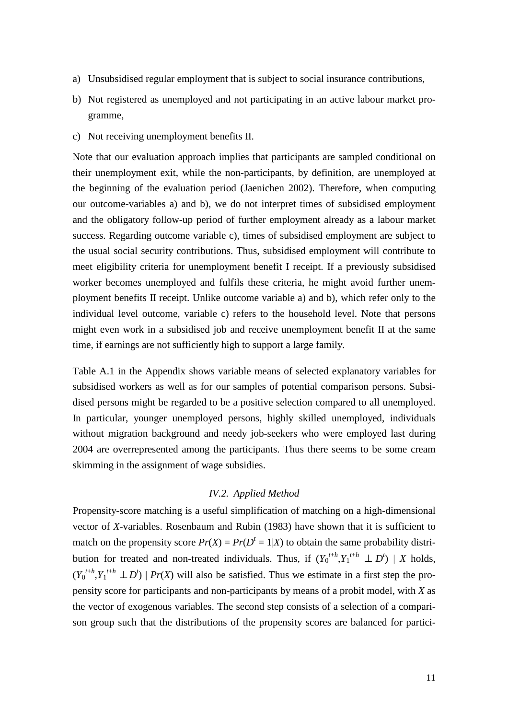- a) Unsubsidised regular employment that is subject to social insurance contributions,
- b) Not registered as unemployed and not participating in an active labour market programme,
- c) Not receiving unemployment benefits II.

Note that our evaluation approach implies that participants are sampled conditional on their unemployment exit, while the non-participants, by definition, are unemployed at the beginning of the evaluation period (Jaenichen 2002). Therefore, when computing our outcome-variables a) and b), we do not interpret times of subsidised employment and the obligatory follow-up period of further employment already as a labour market success. Regarding outcome variable c), times of subsidised employment are subject to the usual social security contributions. Thus, subsidised employment will contribute to meet eligibility criteria for unemployment benefit I receipt. If a previously subsidised worker becomes unemployed and fulfils these criteria, he might avoid further unemployment benefits II receipt. Unlike outcome variable a) and b), which refer only to the individual level outcome, variable c) refers to the household level. Note that persons might even work in a subsidised job and receive unemployment benefit II at the same time, if earnings are not sufficiently high to support a large family.

Table A.1 in the Appendix shows variable means of selected explanatory variables for subsidised workers as well as for our samples of potential comparison persons. Subsidised persons might be regarded to be a positive selection compared to all unemployed. In particular, younger unemployed persons, highly skilled unemployed, individuals without migration background and needy job-seekers who were employed last during 2004 are overrepresented among the participants. Thus there seems to be some cream skimming in the assignment of wage subsidies.

#### *IV.2. Applied Method*

Propensity-score matching is a useful simplification of matching on a high-dimensional vector of *X*-variables. Rosenbaum and Rubin (1983) have shown that it is sufficient to match on the propensity score  $Pr(X) = Pr(D^t = 1 | X)$  to obtain the same probability distribution for treated and non-treated individuals. Thus, if  $(Y_0^{t+h}, Y_1^{t+h} \perp D^t)$  | *X* holds,  $(Y_0^{t+h}, Y_1^{t+h} \perp D^t)$  | *Pr*(*X*) will also be satisfied. Thus we estimate in a first step the propensity score for participants and non-participants by means of a probit model, with *X* as the vector of exogenous variables. The second step consists of a selection of a comparison group such that the distributions of the propensity scores are balanced for partici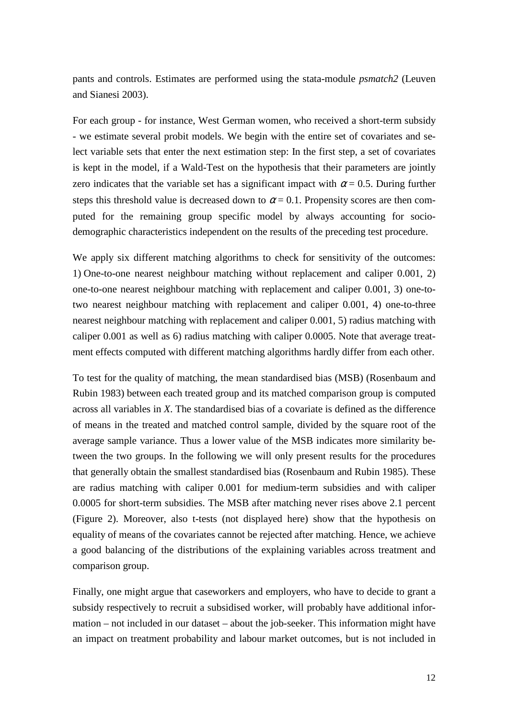pants and controls. Estimates are performed using the stata-module *psmatch2* (Leuven and Sianesi 2003).

For each group - for instance, West German women, who received a short-term subsidy - we estimate several probit models. We begin with the entire set of covariates and select variable sets that enter the next estimation step: In the first step, a set of covariates is kept in the model, if a Wald-Test on the hypothesis that their parameters are jointly zero indicates that the variable set has a significant impact with  $\alpha$  = 0.5. During further steps this threshold value is decreased down to  $\alpha = 0.1$ . Propensity scores are then computed for the remaining group specific model by always accounting for sociodemographic characteristics independent on the results of the preceding test procedure.

We apply six different matching algorithms to check for sensitivity of the outcomes: 1) One-to-one nearest neighbour matching without replacement and caliper 0.001, 2) one-to-one nearest neighbour matching with replacement and caliper 0.001, 3) one-totwo nearest neighbour matching with replacement and caliper 0.001, 4) one-to-three nearest neighbour matching with replacement and caliper 0.001, 5) radius matching with caliper 0.001 as well as 6) radius matching with caliper 0.0005. Note that average treatment effects computed with different matching algorithms hardly differ from each other.

To test for the quality of matching, the mean standardised bias (MSB) (Rosenbaum and Rubin 1983) between each treated group and its matched comparison group is computed across all variables in *X*. The standardised bias of a covariate is defined as the difference of means in the treated and matched control sample, divided by the square root of the average sample variance. Thus a lower value of the MSB indicates more similarity between the two groups. In the following we will only present results for the procedures that generally obtain the smallest standardised bias (Rosenbaum and Rubin 1985). These are radius matching with caliper 0.001 for medium-term subsidies and with caliper 0.0005 for short-term subsidies. The MSB after matching never rises above 2.1 percent (Figure 2). Moreover, also t-tests (not displayed here) show that the hypothesis on equality of means of the covariates cannot be rejected after matching. Hence, we achieve a good balancing of the distributions of the explaining variables across treatment and comparison group.

Finally, one might argue that caseworkers and employers, who have to decide to grant a subsidy respectively to recruit a subsidised worker, will probably have additional information – not included in our dataset – about the job-seeker. This information might have an impact on treatment probability and labour market outcomes, but is not included in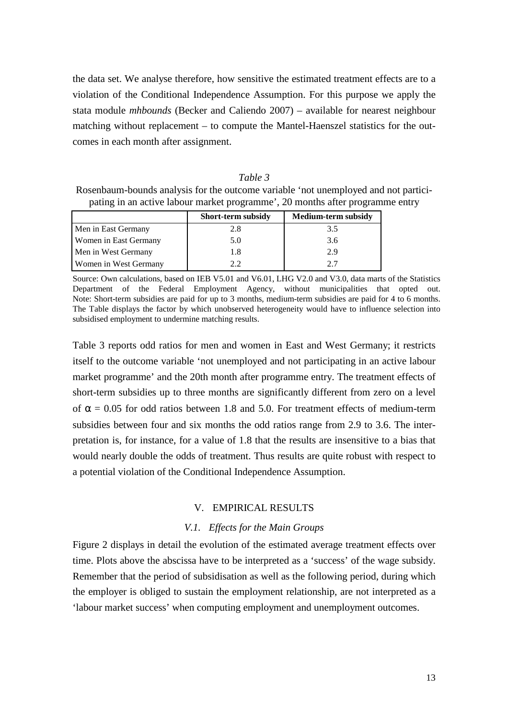the data set. We analyse therefore, how sensitive the estimated treatment effects are to a violation of the Conditional Independence Assumption. For this purpose we apply the stata module *mhbounds* (Becker and Caliendo 2007) – available for nearest neighbour matching without replacement – to compute the Mantel-Haenszel statistics for the outcomes in each month after assignment.

#### *Table 3*

Rosenbaum-bounds analysis for the outcome variable 'not unemployed and not participating in an active labour market programme', 20 months after programme entry

|                       | <b>Short-term subsidy</b> | <b>Medium-term subsidy</b> |
|-----------------------|---------------------------|----------------------------|
| Men in East Germany   | 2.8                       | 3.5                        |
| Women in East Germany | 5.0                       | 3.6                        |
| Men in West Germany   | 1.8                       | 2.9                        |
| Women in West Germany | 2.2                       | 2.7                        |

Source: Own calculations, based on IEB V5.01 and V6.01, LHG V2.0 and V3.0, data marts of the Statistics Department of the Federal Employment Agency, without municipalities that opted out. Note: Short-term subsidies are paid for up to 3 months, medium-term subsidies are paid for 4 to 6 months. The Table displays the factor by which unobserved heterogeneity would have to influence selection into subsidised employment to undermine matching results.

Table 3 reports odd ratios for men and women in East and West Germany; it restricts itself to the outcome variable 'not unemployed and not participating in an active labour market programme' and the 20th month after programme entry. The treatment effects of short-term subsidies up to three months are significantly different from zero on a level of  $\alpha$  = 0.05 for odd ratios between 1.8 and 5.0. For treatment effects of medium-term subsidies between four and six months the odd ratios range from 2.9 to 3.6. The interpretation is, for instance, for a value of 1.8 that the results are insensitive to a bias that would nearly double the odds of treatment. Thus results are quite robust with respect to a potential violation of the Conditional Independence Assumption.

#### V. EMPIRICAL RESULTS

#### *V.1. Effects for the Main Groups*

Figure 2 displays in detail the evolution of the estimated average treatment effects over time. Plots above the abscissa have to be interpreted as a 'success' of the wage subsidy. Remember that the period of subsidisation as well as the following period, during which the employer is obliged to sustain the employment relationship, are not interpreted as a 'labour market success' when computing employment and unemployment outcomes.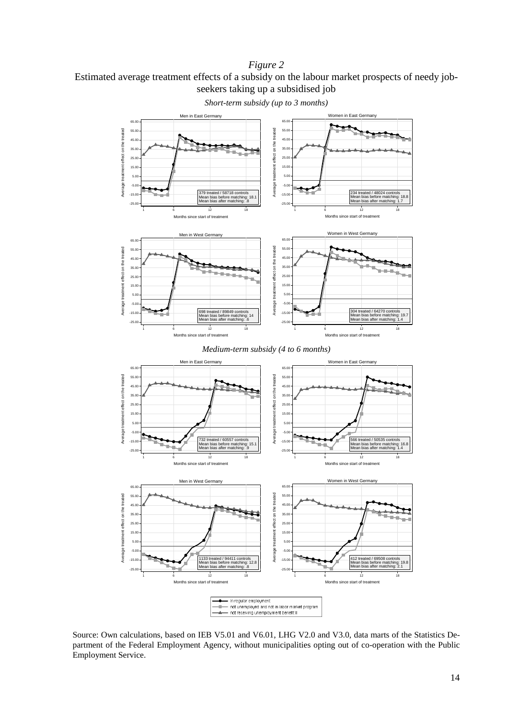#### *Figure 2*

Estimated average treatment effects of a subsidy on the labour market prospects of needy jobseekers taking up a subsidised job



*Short-term subsidy (up to 3 months)* 

Source: Own calculations, based on IEB V5.01 and V6.01, LHG V2.0 and V3.0, data marts of the Statistics Department of the Federal Employment Agency, without municipalities opting out of co-operation with the Public Employment Service.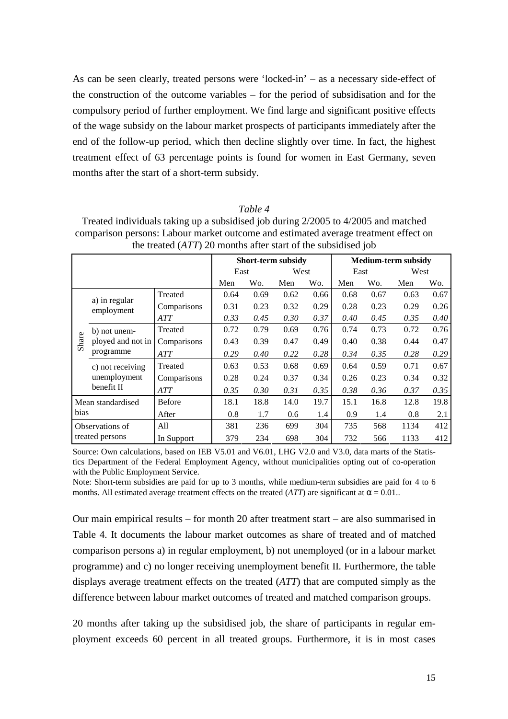As can be seen clearly, treated persons were 'locked-in' – as a necessary side-effect of the construction of the outcome variables – for the period of subsidisation and for the compulsory period of further employment. We find large and significant positive effects of the wage subsidy on the labour market prospects of participants immediately after the end of the follow-up period, which then decline slightly over time. In fact, the highest treatment effect of 63 percentage points is found for women in East Germany, seven months after the start of a short-term subsidy.

#### *Table 4*

| Treated individuals taking up a subsidised job during 2/2005 to 4/2005 and matched  |
|-------------------------------------------------------------------------------------|
| comparison persons: Labour market outcome and estimated average treatment effect on |
| the treated $(ATT)$ 20 months after start of the subsidised job                     |

|       |                             |               |      |      | <b>Short-term subsidy</b> |      | <b>Medium-term subsidy</b> |      |      |      |  |  |  |
|-------|-----------------------------|---------------|------|------|---------------------------|------|----------------------------|------|------|------|--|--|--|
|       |                             |               | East |      | West                      |      | East                       |      | West |      |  |  |  |
|       |                             | Men           | Wo.  | Men  | Wo.                       | Men  | Wo.                        | Men  | Wo.  |      |  |  |  |
|       |                             | Treated       | 0.64 | 0.69 | 0.62                      | 0.66 | 0.68                       | 0.67 | 0.63 | 0.67 |  |  |  |
|       | a) in regular<br>employment | Comparisons   | 0.31 | 0.23 | 0.32                      | 0.29 | 0.28                       | 0.23 | 0.29 | 0.26 |  |  |  |
|       |                             | ATT           | 0.33 | 0.45 | 0.30                      | 0.37 | 0.40                       | 0.45 | 0.35 | 0.40 |  |  |  |
|       | b) not unem-                | Treated       | 0.72 | 0.79 | 0.69                      | 0.76 | 0.74                       | 0.73 | 0.72 | 0.76 |  |  |  |
| Share | ployed and not in           | Comparisons   | 0.43 | 0.39 | 0.47                      | 0.49 | 0.40                       | 0.38 | 0.44 | 0.47 |  |  |  |
|       | programme                   | <b>ATT</b>    | 0.29 | 0.40 | 0.22                      | 0.28 | 0.34                       | 0.35 | 0.28 | 0.29 |  |  |  |
|       | c) not receiving            | Treated       | 0.63 | 0.53 | 0.68                      | 0.69 | 0.64                       | 0.59 | 0.71 | 0.67 |  |  |  |
|       | unemployment                | Comparisons   | 0.28 | 0.24 | 0.37                      | 0.34 | 0.26                       | 0.23 | 0.34 | 0.32 |  |  |  |
|       | benefit II                  | <b>ATT</b>    | 0.35 | 0.30 | 0.31                      | 0.35 | 0.38                       | 0.36 | 0.37 | 0.35 |  |  |  |
|       | Mean standardised           | <b>Before</b> | 18.1 | 18.8 | 14.0                      | 19.7 | 15.1                       | 16.8 | 12.8 | 19.8 |  |  |  |
| bias  |                             | After         | 0.8  | 1.7  | 0.6                       | 1.4  | 0.9                        | 1.4  | 0.8  | 2.1  |  |  |  |
|       | Observations of             | All           | 381  | 236  | 699                       | 304  | 735                        | 568  | 1134 | 412  |  |  |  |
|       | treated persons             | In Support    | 379  | 234  | 698                       | 304  | 732                        | 566  | 1133 | 412  |  |  |  |

Source: Own calculations, based on IEB V5.01 and V6.01, LHG V2.0 and V3.0, data marts of the Statistics Department of the Federal Employment Agency, without municipalities opting out of co-operation with the Public Employment Service.

Note: Short-term subsidies are paid for up to 3 months, while medium-term subsidies are paid for 4 to 6 months. All estimated average treatment effects on the treated ( $ATT$ ) are significant at  $\alpha = 0.01$ ..

Our main empirical results – for month 20 after treatment start – are also summarised in Table 4. It documents the labour market outcomes as share of treated and of matched comparison persons a) in regular employment, b) not unemployed (or in a labour market programme) and c) no longer receiving unemployment benefit II. Furthermore, the table displays average treatment effects on the treated (*ATT*) that are computed simply as the difference between labour market outcomes of treated and matched comparison groups.

20 months after taking up the subsidised job, the share of participants in regular employment exceeds 60 percent in all treated groups. Furthermore, it is in most cases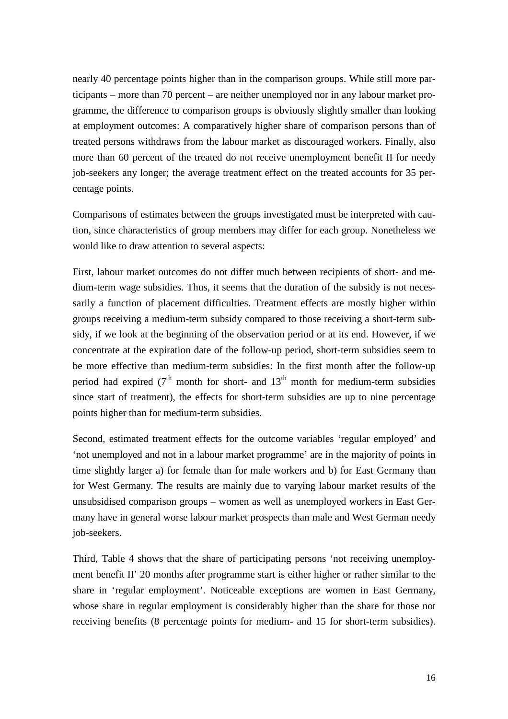nearly 40 percentage points higher than in the comparison groups. While still more participants – more than 70 percent – are neither unemployed nor in any labour market programme, the difference to comparison groups is obviously slightly smaller than looking at employment outcomes: A comparatively higher share of comparison persons than of treated persons withdraws from the labour market as discouraged workers. Finally, also more than 60 percent of the treated do not receive unemployment benefit II for needy job-seekers any longer; the average treatment effect on the treated accounts for 35 percentage points.

Comparisons of estimates between the groups investigated must be interpreted with caution, since characteristics of group members may differ for each group. Nonetheless we would like to draw attention to several aspects:

First, labour market outcomes do not differ much between recipients of short- and medium-term wage subsidies. Thus, it seems that the duration of the subsidy is not necessarily a function of placement difficulties. Treatment effects are mostly higher within groups receiving a medium-term subsidy compared to those receiving a short-term subsidy, if we look at the beginning of the observation period or at its end. However, if we concentrate at the expiration date of the follow-up period, short-term subsidies seem to be more effective than medium-term subsidies: In the first month after the follow-up period had expired ( $7<sup>th</sup>$  month for short- and  $13<sup>th</sup>$  month for medium-term subsidies since start of treatment), the effects for short-term subsidies are up to nine percentage points higher than for medium-term subsidies.

Second, estimated treatment effects for the outcome variables 'regular employed' and 'not unemployed and not in a labour market programme' are in the majority of points in time slightly larger a) for female than for male workers and b) for East Germany than for West Germany. The results are mainly due to varying labour market results of the unsubsidised comparison groups – women as well as unemployed workers in East Germany have in general worse labour market prospects than male and West German needy job-seekers.

Third, Table 4 shows that the share of participating persons 'not receiving unemployment benefit II' 20 months after programme start is either higher or rather similar to the share in 'regular employment'. Noticeable exceptions are women in East Germany, whose share in regular employment is considerably higher than the share for those not receiving benefits (8 percentage points for medium- and 15 for short-term subsidies).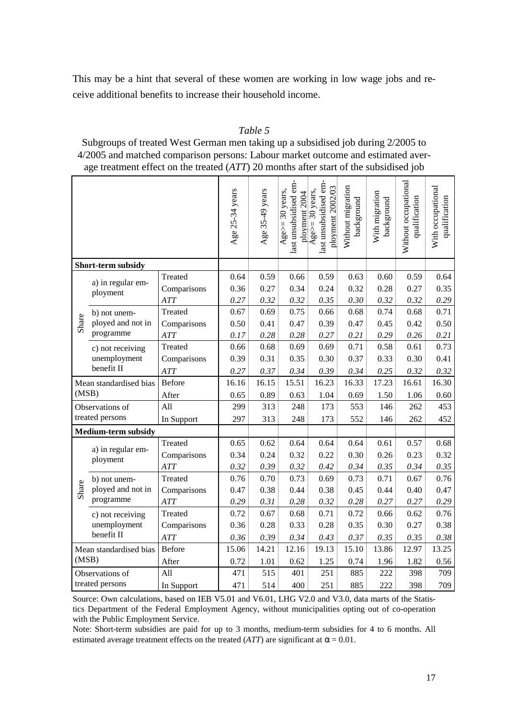This may be a hint that several of these women are working in low wage jobs and receive additional benefits to increase their household income.

#### *Table 5*

Subgroups of treated West German men taking up a subsidised job during 2/2005 to 4/2005 and matched comparison persons: Labour market outcome and estimated average treatment effect on the treated (*ATT*) 20 months after start of the subsidised job

|       |                               |               | Age 25-34 years | Age 35-49 years | last unsubsidised em-<br>Age>= $30$ years,<br>ployment 2004 | last unsubsidised em-<br>ployment 2002/03<br>Age>= $30$ years, | Without migration<br>background | With migration<br>background | Without occupational<br>qualification | With occupational<br>qualification |
|-------|-------------------------------|---------------|-----------------|-----------------|-------------------------------------------------------------|----------------------------------------------------------------|---------------------------------|------------------------------|---------------------------------------|------------------------------------|
|       | Short-term subsidy            |               |                 |                 |                                                             |                                                                |                                 |                              |                                       |                                    |
|       |                               | Treated       | 0.64            | 0.59            | 0.66                                                        | 0.59                                                           | 0.63                            | 0.60                         | 0.59                                  | 0.64                               |
|       | a) in regular em-<br>ployment | Comparisons   | 0.36            | 0.27            | 0.34                                                        | 0.24                                                           | 0.32                            | 0.28                         | 0.27                                  | 0.35                               |
|       |                               | <b>ATT</b>    | 0.27            | 0.32            | 0.32                                                        | 0.35                                                           | 0.30                            | 0.32                         | 0.32                                  | 0.29                               |
|       | b) not unem-                  | Treated       | 0.67            | 0.69            | 0.75                                                        | 0.66                                                           | 0.68                            | 0.74                         | 0.68                                  | 0.71                               |
| Share | ployed and not in             | Comparisons   | 0.50            | 0.41            | 0.47                                                        | 0.39                                                           | 0.47                            | 0.45                         | 0.42                                  | 0.50                               |
|       | programme                     | <b>ATT</b>    | 0.17            | 0.28            | 0.28                                                        | 0.27                                                           | 0.21                            | 0.29                         | 0.26                                  | 0.21                               |
|       | c) not receiving              | Treated       | 0.66            | 0.68            | 0.69                                                        | 0.69                                                           | 0.71                            | 0.58                         | 0.61                                  | 0.73                               |
|       | unemployment                  | Comparisons   | 0.39            | 0.31            | 0.35                                                        | 0.30                                                           | 0.37                            | 0.33                         | 0.30                                  | 0.41                               |
|       | benefit II                    | <b>ATT</b>    | 0.27            | 0.37            | 0.34                                                        | 0.39                                                           | 0.34                            | 0.25                         | 0.32                                  | 0.32                               |
|       | Mean standardised bias        | <b>Before</b> | 16.16           | 16.15           | 15.51                                                       | 16.23                                                          | 16.33                           | 17.23                        | 16.61                                 | 16.30                              |
| (MSB) |                               | After         | 0.65            | 0.89            | 0.63                                                        | 1.04                                                           | 0.69                            | 1.50                         | 1.06                                  | 0.60                               |
|       | Observations of               | All           | 299             | 313             | 248                                                         | 173                                                            | 553                             | 146                          | 262                                   | 453                                |
|       | treated persons               | In Support    | 297             | 313             | 248                                                         | 173                                                            | 552                             | 146                          | 262                                   | 452                                |
|       | <b>Medium-term subsidy</b>    |               |                 |                 |                                                             |                                                                |                                 |                              |                                       |                                    |
|       | a) in regular em-             | Treated       | 0.65            | 0.62            | 0.64                                                        | 0.64                                                           | 0.64                            | 0.61                         | 0.57                                  | 0.68                               |
|       | ployment                      | Comparisons   | 0.34            | 0.24            | 0.32                                                        | 0.22                                                           | 0.30                            | 0.26                         | 0.23                                  | 0.32                               |
|       |                               | <b>ATT</b>    | 0.32            | 0.39            | 0.32                                                        | 0.42                                                           | 0.34                            | 0.35                         | 0.34                                  | 0.35                               |
|       | b) not unem-                  | Treated       | 0.76            | 0.70            | 0.73                                                        | 0.69                                                           | 0.73                            | 0.71                         | 0.67                                  | 0.76                               |
| Share | ployed and not in             | Comparisons   | 0.47            | 0.38            | 0.44                                                        | 0.38                                                           | 0.45                            | 0.44                         | 0.40                                  | 0.47                               |
|       | programme                     | <b>ATT</b>    | 0.29            | 0.31            | 0.28                                                        | 0.32                                                           | 0.28                            | 0.27                         | 0.27                                  | 0.29                               |
|       | c) not receiving              | Treated       | 0.72            | 0.67            | 0.68                                                        | 0.71                                                           | 0.72                            | 0.66                         | 0.62                                  | 0.76                               |
|       | unemployment                  | Comparisons   | 0.36            | 0.28            | 0.33                                                        | 0.28                                                           | 0.35                            | 0.30                         | 0.27                                  | 0.38                               |
|       | benefit II                    | <b>ATT</b>    | 0.36            | 0.39            | 0.34                                                        | 0.43                                                           | 0.37                            | 0.35                         | 0.35                                  | 0.38                               |
|       | Mean standardised bias        | <b>Before</b> | 15.06           | 14.21           | 12.16                                                       | 19.13                                                          | 15.10                           | 13.86                        | 12.97                                 | 13.25                              |
| (MSB) |                               | After         | 0.72            | 1.01            | 0.62                                                        | 1.25                                                           | 0.74                            | 1.96                         | 1.82                                  | 0.56                               |
|       | Observations of               | All           | 471             | 515             | 401                                                         | 251                                                            | 885                             | 222                          | 398                                   | 709                                |
|       | treated persons               | In Support    | 471             | 514             | 400                                                         | 251                                                            | 885                             | 222                          | 398                                   | 709                                |

Source: Own calculations, based on IEB V5.01 and V6.01, LHG V2.0 and V3.0, data marts of the Statistics Department of the Federal Employment Agency, without municipalities opting out of co-operation with the Public Employment Service.

Note: Short-term subsidies are paid for up to 3 months, medium-term subsidies for 4 to 6 months. All estimated average treatment effects on the treated (*ATT*) are significant at  $\alpha = 0.01$ .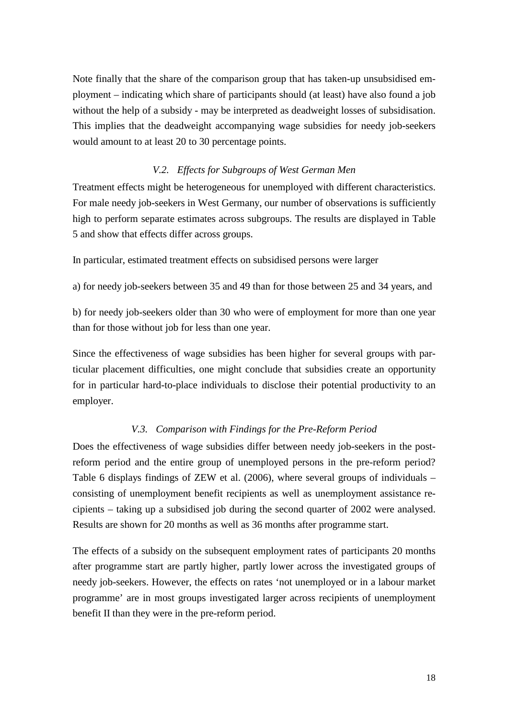Note finally that the share of the comparison group that has taken-up unsubsidised employment – indicating which share of participants should (at least) have also found a job without the help of a subsidy - may be interpreted as deadweight losses of subsidisation. This implies that the deadweight accompanying wage subsidies for needy job-seekers would amount to at least 20 to 30 percentage points.

#### *V.2. Effects for Subgroups of West German Men*

Treatment effects might be heterogeneous for unemployed with different characteristics. For male needy job-seekers in West Germany, our number of observations is sufficiently high to perform separate estimates across subgroups. The results are displayed in Table 5 and show that effects differ across groups.

In particular, estimated treatment effects on subsidised persons were larger

a) for needy job-seekers between 35 and 49 than for those between 25 and 34 years, and

b) for needy job-seekers older than 30 who were of employment for more than one year than for those without job for less than one year.

Since the effectiveness of wage subsidies has been higher for several groups with particular placement difficulties, one might conclude that subsidies create an opportunity for in particular hard-to-place individuals to disclose their potential productivity to an employer.

#### *V.3. Comparison with Findings for the Pre-Reform Period*

Does the effectiveness of wage subsidies differ between needy job-seekers in the postreform period and the entire group of unemployed persons in the pre-reform period? Table 6 displays findings of ZEW et al. (2006), where several groups of individuals – consisting of unemployment benefit recipients as well as unemployment assistance recipients – taking up a subsidised job during the second quarter of 2002 were analysed. Results are shown for 20 months as well as 36 months after programme start.

The effects of a subsidy on the subsequent employment rates of participants 20 months after programme start are partly higher, partly lower across the investigated groups of needy job-seekers. However, the effects on rates 'not unemployed or in a labour market programme' are in most groups investigated larger across recipients of unemployment benefit II than they were in the pre-reform period.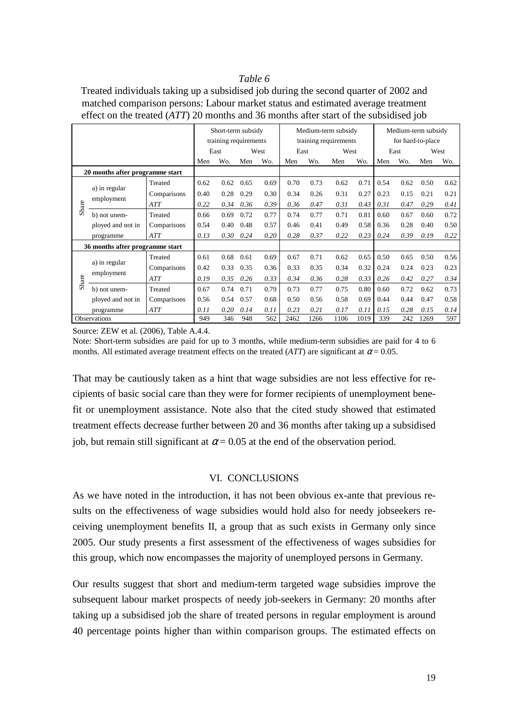#### *Table 6*

Treated individuals taking up a subsidised job during the second quarter of 2002 and matched comparison persons: Labour market status and estimated average treatment effect on the treated (*ATT*) 20 months and 36 months after start of the subsidised job

|                                 |                                 |             |      | Short-term subsidy    |      |      |      |      | Medium-term subsidy   | Medium-term subsidy |      |      |      |      |  |
|---------------------------------|---------------------------------|-------------|------|-----------------------|------|------|------|------|-----------------------|---------------------|------|------|------|------|--|
|                                 |                                 |             |      | training requirements |      |      |      |      | training requirements | for hard-to-place   |      |      |      |      |  |
|                                 |                                 |             |      | East                  |      | West |      | East |                       | West                |      | East | West |      |  |
|                                 |                                 |             | Men  | Wo.                   | Men  | Wo.  | Men  | Wo.  | Men                   | Wo.                 | Men  | Wo.  | Men  | Wo.  |  |
| 20 months after programme start |                                 |             |      |                       |      |      |      |      |                       |                     |      |      |      |      |  |
|                                 |                                 | Treated     | 0.62 | 0.62                  | 0.65 | 0.69 | 0.70 | 0.73 | 0.62                  | 0.71                | 0.54 | 0.62 | 0.50 | 0.62 |  |
|                                 | a) in regular                   | Comparisons | 0.40 | 0.28                  | 0.29 | 0.30 | 0.34 | 0.26 | 0.31                  | 0.27                | 0.23 | 0.15 | 0.21 | 0.21 |  |
| Share                           | employment                      | ATT         | 0.22 | 0.34                  | 0.36 | 0.39 | 0.36 | 0.47 | 0.31                  | 0.43                | 0.31 | 0.47 | 0.29 | 0.41 |  |
|                                 | b) not unem-                    | Treated     | 0.66 | 0.69                  | 0.72 | 0.77 | 0.74 | 0.77 | 0.71                  | 0.81                | 0.60 | 0.67 | 0.60 | 0.72 |  |
|                                 | ployed and not in               | Comparisons | 0.54 | 0.40                  | 0.48 | 0.57 | 0.46 | 0.41 | 0.49                  | 0.58                | 0.36 | 0.28 | 0.40 | 0.50 |  |
|                                 | programme                       | ATT         | 0.13 | 0.30                  | 0.24 | 0.20 | 0.28 | 0.37 | 0.22                  | 0.23                | 0.24 | 0.39 | 0.19 | 0.22 |  |
|                                 | 36 months after programme start |             |      |                       |      |      |      |      |                       |                     |      |      |      |      |  |
|                                 |                                 | Treated     | 0.61 | 0.68                  | 0.61 | 0.69 | 0.67 | 0.71 | 0.62                  | 0.65                | 0.50 | 0.65 | 0.50 | 0.56 |  |
|                                 | a) in regular                   | Comparisons | 0.42 | 0.33                  | 0.35 | 0.36 | 0.33 | 0.35 | 0.34                  | 0.32                | 0.24 | 0.24 | 0.23 | 0.23 |  |
| Share                           | employment                      | ATT         | 0.19 | 0.35                  | 0.26 | 0.33 | 0.34 | 0.36 | 0.28                  | 0.33                | 0.26 | 0.42 | 0.27 | 0.34 |  |
|                                 | b) not unem-                    | Treated     | 0.67 | 0.74                  | 0.71 | 0.79 | 0.73 | 0.77 | 0.75                  | 0.80                | 0.60 | 0.72 | 0.62 | 0.73 |  |
|                                 | ployed and not in               | Comparisons | 0.56 | 0.54                  | 0.57 | 0.68 | 0.50 | 0.56 | 0.58                  | 0.69                | 0.44 | 0.44 | 0.47 | 0.58 |  |
|                                 | programme                       | ATT         | 0.11 | 0.20                  | 0.14 | 0.11 | 0.23 | 0.21 | 0.17                  | 0.11                | 0.15 | 0.28 | 0.15 | 0.14 |  |
|                                 | Observations                    |             | 949  | 346                   | 948  | 562  | 2462 | 1266 | 1106                  | 1019                | 339  | 242  | 1269 | 597  |  |

Source: ZEW et al. (2006), Table A.4.4.

Note: Short-term subsidies are paid for up to 3 months, while medium-term subsidies are paid for 4 to 6 months. All estimated average treatment effects on the treated (*ATT*) are significant at  $\alpha$  = 0.05.

That may be cautiously taken as a hint that wage subsidies are not less effective for recipients of basic social care than they were for former recipients of unemployment benefit or unemployment assistance. Note also that the cited study showed that estimated treatment effects decrease further between 20 and 36 months after taking up a subsidised job, but remain still significant at  $\alpha$  = 0.05 at the end of the observation period.

#### VI. CONCLUSIONS

As we have noted in the introduction, it has not been obvious ex-ante that previous results on the effectiveness of wage subsidies would hold also for needy jobseekers receiving unemployment benefits II, a group that as such exists in Germany only since 2005. Our study presents a first assessment of the effectiveness of wages subsidies for this group, which now encompasses the majority of unemployed persons in Germany.

Our results suggest that short and medium-term targeted wage subsidies improve the subsequent labour market prospects of needy job-seekers in Germany: 20 months after taking up a subsidised job the share of treated persons in regular employment is around 40 percentage points higher than within comparison groups. The estimated effects on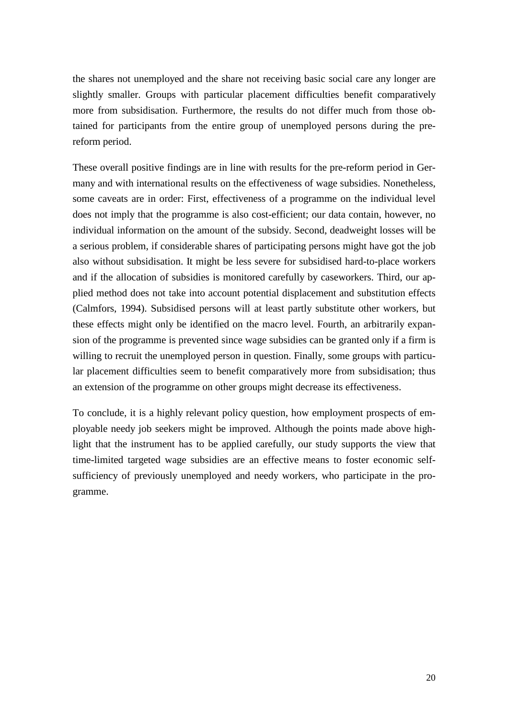the shares not unemployed and the share not receiving basic social care any longer are slightly smaller. Groups with particular placement difficulties benefit comparatively more from subsidisation. Furthermore, the results do not differ much from those obtained for participants from the entire group of unemployed persons during the prereform period.

These overall positive findings are in line with results for the pre-reform period in Germany and with international results on the effectiveness of wage subsidies. Nonetheless, some caveats are in order: First, effectiveness of a programme on the individual level does not imply that the programme is also cost-efficient; our data contain, however, no individual information on the amount of the subsidy. Second, deadweight losses will be a serious problem, if considerable shares of participating persons might have got the job also without subsidisation. It might be less severe for subsidised hard-to-place workers and if the allocation of subsidies is monitored carefully by caseworkers. Third, our applied method does not take into account potential displacement and substitution effects (Calmfors, 1994). Subsidised persons will at least partly substitute other workers, but these effects might only be identified on the macro level. Fourth, an arbitrarily expansion of the programme is prevented since wage subsidies can be granted only if a firm is willing to recruit the unemployed person in question. Finally, some groups with particular placement difficulties seem to benefit comparatively more from subsidisation; thus an extension of the programme on other groups might decrease its effectiveness.

To conclude, it is a highly relevant policy question, how employment prospects of employable needy job seekers might be improved. Although the points made above highlight that the instrument has to be applied carefully, our study supports the view that time-limited targeted wage subsidies are an effective means to foster economic selfsufficiency of previously unemployed and needy workers, who participate in the programme.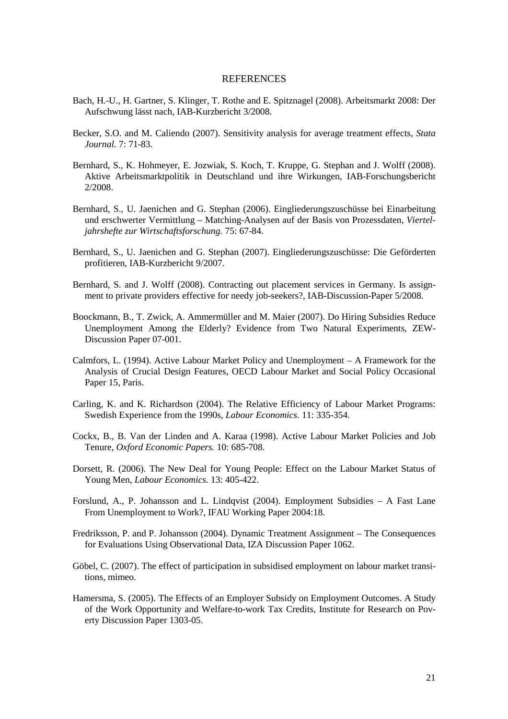#### **REFERENCES**

- Bach, H.-U., H. Gartner, S. Klinger, T. Rothe and E. Spitznagel (2008). Arbeitsmarkt 2008: Der Aufschwung lässt nach, IAB-Kurzbericht 3/2008.
- Becker, S.O. and M. Caliendo (2007). Sensitivity analysis for average treatment effects, *Stata Journal.* 7: 71-83.
- Bernhard, S., K. Hohmeyer, E. Jozwiak, S. Koch, T. Kruppe, G. Stephan and J. Wolff (2008). Aktive Arbeitsmarktpolitik in Deutschland und ihre Wirkungen, IAB-Forschungsbericht 2/2008.
- Bernhard, S., U. Jaenichen and G. Stephan (2006). Eingliederungszuschüsse bei Einarbeitung und erschwerter Vermittlung – Matching-Analysen auf der Basis von Prozessdaten, *Vierteljahrshefte zur Wirtschaftsforschung.* 75: 67-84.
- Bernhard, S., U. Jaenichen and G. Stephan (2007). Eingliederungszuschüsse: Die Geförderten profitieren, IAB-Kurzbericht 9/2007.
- Bernhard, S. and J. Wolff (2008). Contracting out placement services in Germany. Is assignment to private providers effective for needy job-seekers?, IAB-Discussion-Paper 5/2008.
- Boockmann, B., T. Zwick, A. Ammermüller and M. Maier (2007). Do Hiring Subsidies Reduce Unemployment Among the Elderly? Evidence from Two Natural Experiments, ZEW-Discussion Paper 07-001.
- Calmfors, L. (1994). Active Labour Market Policy and Unemployment A Framework for the Analysis of Crucial Design Features, OECD Labour Market and Social Policy Occasional Paper 15, Paris.
- Carling, K. and K. Richardson (2004). The Relative Efficiency of Labour Market Programs: Swedish Experience from the 1990s, *Labour Economics.* 11: 335-354.
- Cockx, B., B. Van der Linden and A. Karaa (1998). Active Labour Market Policies and Job Tenure, *Oxford Economic Papers.* 10: 685-708.
- Dorsett, R. (2006). The New Deal for Young People: Effect on the Labour Market Status of Young Men, *Labour Economics.* 13: 405-422.
- Forslund, A., P. Johansson and L. Lindqvist (2004). Employment Subsidies A Fast Lane From Unemployment to Work?, IFAU Working Paper 2004:18.
- Fredriksson, P. and P. Johansson (2004). Dynamic Treatment Assignment The Consequences for Evaluations Using Observational Data, IZA Discussion Paper 1062.
- Göbel, C. (2007). The effect of participation in subsidised employment on labour market transitions, mimeo.
- Hamersma, S. (2005). The Effects of an Employer Subsidy on Employment Outcomes. A Study of the Work Opportunity and Welfare-to-work Tax Credits, Institute for Research on Poverty Discussion Paper 1303-05.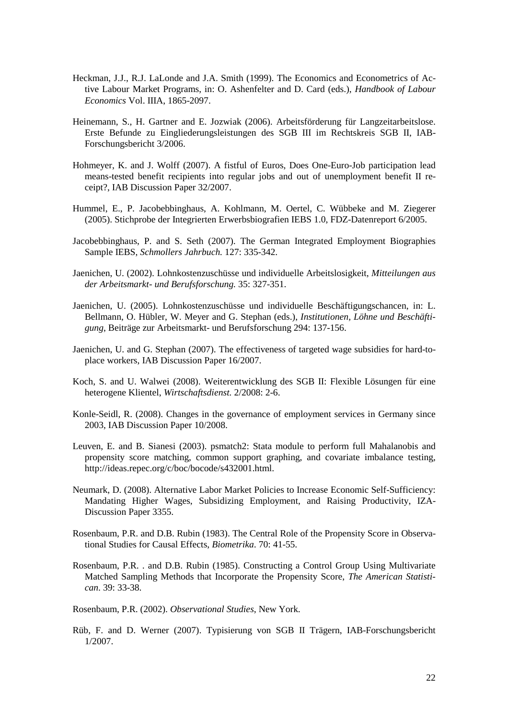- Heckman, J.J., R.J. LaLonde and J.A. Smith (1999). The Economics and Econometrics of Active Labour Market Programs, in: O. Ashenfelter and D. Card (eds.), *Handbook of Labour Economics* Vol. IIIA, 1865-2097.
- Heinemann, S., H. Gartner and E. Jozwiak (2006). Arbeitsförderung für Langzeitarbeitslose. Erste Befunde zu Eingliederungsleistungen des SGB III im Rechtskreis SGB II, IAB-Forschungsbericht 3/2006.
- Hohmeyer, K. and J. Wolff (2007). A fistful of Euros, Does One-Euro-Job participation lead means-tested benefit recipients into regular jobs and out of unemployment benefit II receipt?, IAB Discussion Paper 32/2007.
- Hummel, E., P. Jacobebbinghaus, A. Kohlmann, M. Oertel, C. Wübbeke and M. Ziegerer (2005). Stichprobe der Integrierten Erwerbsbiografien IEBS 1.0, FDZ-Datenreport 6/2005.
- Jacobebbinghaus, P. and S. Seth (2007). The German Integrated Employment Biographies Sample IEBS, *Schmollers Jahrbuch.* 127: 335-342.
- Jaenichen, U. (2002). Lohnkostenzuschüsse und individuelle Arbeitslosigkeit, *Mitteilungen aus der Arbeitsmarkt- und Berufsforschung.* 35: 327-351.
- Jaenichen, U. (2005). Lohnkostenzuschüsse und individuelle Beschäftigungschancen, in: L. Bellmann, O. Hübler, W. Meyer and G. Stephan (eds.), *Institutionen, Löhne und Beschäftigung*, Beiträge zur Arbeitsmarkt- und Berufsforschung 294: 137-156.
- Jaenichen, U. and G. Stephan (2007). The effectiveness of targeted wage subsidies for hard-toplace workers, IAB Discussion Paper 16/2007.
- Koch, S. and U. Walwei (2008). Weiterentwicklung des SGB II: Flexible Lösungen für eine heterogene Klientel, *Wirtschaftsdienst.* 2/2008: 2-6.
- Konle-Seidl, R. (2008). Changes in the governance of employment services in Germany since 2003, IAB Discussion Paper 10/2008.
- Leuven, E. and B. Sianesi (2003). psmatch2: Stata module to perform full Mahalanobis and propensity score matching, common support graphing, and covariate imbalance testing, http://ideas.repec.org/c/boc/bocode/s432001.html.
- Neumark, D. (2008). Alternative Labor Market Policies to Increase Economic Self-Sufficiency: Mandating Higher Wages, Subsidizing Employment, and Raising Productivity, IZA-Discussion Paper 3355.
- Rosenbaum, P.R. and D.B. Rubin (1983). The Central Role of the Propensity Score in Observational Studies for Causal Effects, *Biometrika*. 70: 41-55.
- Rosenbaum, P.R. . and D.B. Rubin (1985). Constructing a Control Group Using Multivariate Matched Sampling Methods that Incorporate the Propensity Score, *The American Statistican*. 39: 33-38.

Rosenbaum, P.R. (2002). *Observational Studies*, New York.

Rüb, F. and D. Werner (2007). Typisierung von SGB II Trägern, IAB-Forschungsbericht 1/2007.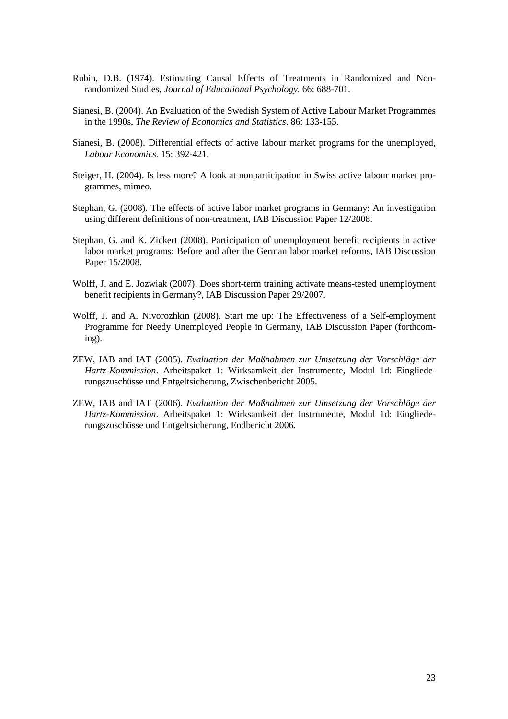- Rubin, D.B. (1974). Estimating Causal Effects of Treatments in Randomized and Nonrandomized Studies, *Journal of Educational Psychology.* 66: 688-701.
- Sianesi, B. (2004). An Evaluation of the Swedish System of Active Labour Market Programmes in the 1990s, *The Review of Economics and Statistics*. 86: 133-155.
- Sianesi, B. (2008). Differential effects of active labour market programs for the unemployed, *Labour Economics.* 15: 392-421.
- Steiger, H. (2004). Is less more? A look at nonparticipation in Swiss active labour market programmes, mimeo.
- Stephan, G. (2008). The effects of active labor market programs in Germany: An investigation using different definitions of non-treatment, IAB Discussion Paper 12/2008.
- Stephan, G. and K. Zickert (2008). Participation of unemployment benefit recipients in active labor market programs: Before and after the German labor market reforms, IAB Discussion Paper 15/2008.
- Wolff, J. and E. Jozwiak (2007). Does short-term training activate means-tested unemployment benefit recipients in Germany?, IAB Discussion Paper 29/2007.
- Wolff, J. and A. Nivorozhkin (2008). Start me up: The Effectiveness of a Self-employment Programme for Needy Unemployed People in Germany, IAB Discussion Paper (forthcoming).
- ZEW, IAB and IAT (2005). *Evaluation der Maßnahmen zur Umsetzung der Vorschläge der Hartz-Kommission*. Arbeitspaket 1: Wirksamkeit der Instrumente, Modul 1d: Eingliederungszuschüsse und Entgeltsicherung, Zwischenbericht 2005.
- ZEW, IAB and IAT (2006). *Evaluation der Maßnahmen zur Umsetzung der Vorschläge der Hartz-Kommission*. Arbeitspaket 1: Wirksamkeit der Instrumente, Modul 1d: Eingliederungszuschüsse und Entgeltsicherung, Endbericht 2006.